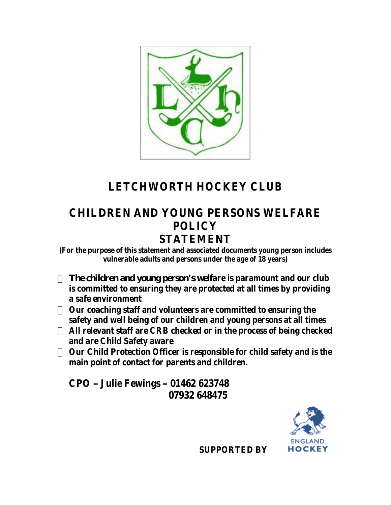

# **LETCHWORTH HOCKEY CLUB**

### **CHILDREN AND YOUNG PERSONS WELFARE POLICY STATEMENT**

**(For the purpose of this statement and associated documents young person includes vulnerable adults and persons under the age of 18 years)**

The child ren and young person's welfare is paramount and our club **is committed to ensuring they are protected at all times by providing a safe environment**

**Our coaching staff and volunteers are committed to ensuring the safety and well being of our children and young persons at all times All relevant staff are CRB checked or in the process of being checked and are Child Safety aware**

**Our Child Protection Officer is responsible for child safety and is the main point of contact for parents and children.**

**CPO – Julie Fewings – 01462 623748 07932 648475**



 **SUPPORTED BY**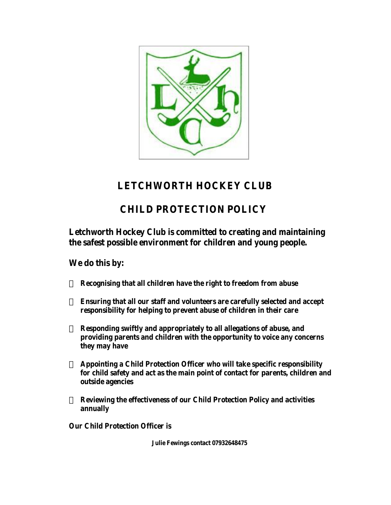

### **LETCHWORTH HOCKEY CLUB**

## **CHILD PROTECTION POLICY**

**Letchworth Hockey Club is committed to creating and maintaining the safest possible environment for children and young people.**

**We do this by:**

**Recognising that all children have the right to freedom from abuse**

**Ensuring that all our staff and volunteers are carefully selected and accept responsibility for helping to prevent abuse of children in their care**

**Responding swiftly and appropriately to all allegations of abuse, and providing parents and children with the opportunity to voice any concerns they may have**

**Appointing a Child Protection Officer who will take specific responsibility for child safety and act as the main point of contact for parents, children and outside agencies**

**Reviewing the effectiveness of our Child Protection Policy and activities annually**

**Our Child Protection Officer is**

 **Julie Fewings contact 07932648475**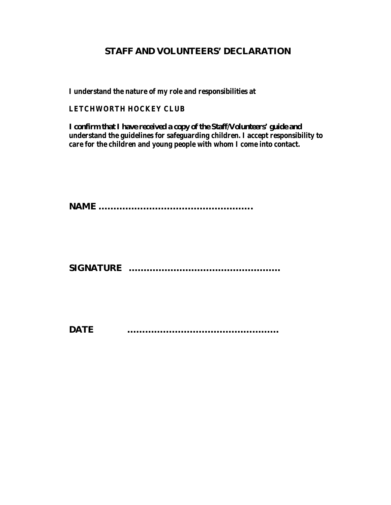#### **S T A F F A N D V O L U N T E E R S ' D E C L A R A T IO N**

**I understand the nature of my role and responsibilities at**

#### **LETCHWORTH HOCKEY CLUB**

I con firm that I have received a copy of the Staff N olunteers' guide and **understand the guidelines for safeguarding children. I accept responsibility to care for the children and young people with whom I come into contact.**

**N A M E … … … … … … … … … … … … … … … … … .**

**S IG N A T U R E … … … … … … … … … … … … … … … … …**

**D A T E … … … … … … … … … … … … … … … … …**